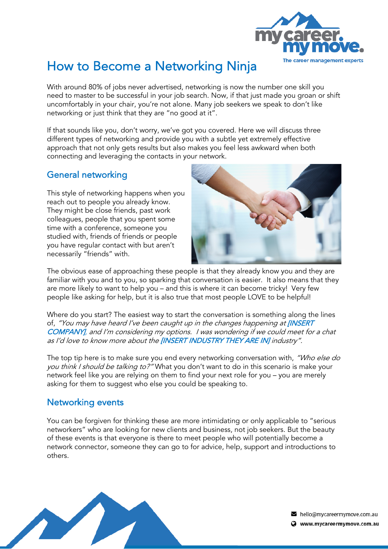

## How to Become a Networking Ninja

With around 80% of jobs never advertised, networking is now the number one skill you need to master to be successful in your job search. Now, if that just made you groan or shift uncomfortably in your chair, you're not alone. Many job seekers we speak to don't like networking or just think that they are "no good at it".

If that sounds like you, don't worry, we've got you covered. Here we will discuss three different types of networking and provide you with a subtle yet extremely effective approach that not only gets results but also makes you feel less awkward when both connecting and leveraging the contacts in your network.

## General networking

This style of networking happens when you reach out to people you already know. They might be close friends, past work colleagues, people that you spent some time with a conference, someone you studied with, friends of friends or people you have regular contact with but aren't necessarily "friends" with.



The obvious ease of approaching these people is that they already know you and they are familiar with you and to you, so sparking that conversation is easier. It also means that they are more likely to want to help you – and this is where it can become tricky! Very few people like asking for help, but it is also true that most people LOVE to be helpful!

Where do you start? The easiest way to start the conversation is something along the lines of, "You may have heard I've been caught up in the changes happening at *[INSERT* COMPANY], and I'm considering my options. I was wondering if we could meet for a chat as I'd love to know more about the [INSERT INDUSTRY THEY ARE IN] industry".

The top tip here is to make sure you end every networking conversation with, "Who else do you think I should be talking to?" What you don't want to do in this scenario is make your network feel like you are relying on them to find your next role for you – you are merely asking for them to suggest who else you could be speaking to.

## Networking events

You can be forgiven for thinking these are more intimidating or only applicable to "serious networkers" who are looking for new clients and business, not job seekers. But the beauty of these events is that everyone is there to meet people who will potentially become a network connector, someone they can go to for advice, help, support and introductions to others.



hello@mycareermymove.com.au Www.mycareermymove.com.au